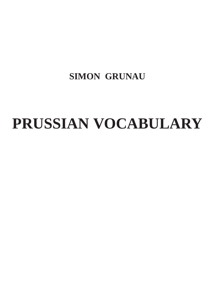### **SIMON GRUNAU**

# **PRUSSIAN VOCABULARY**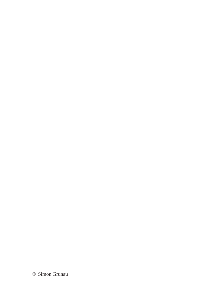© Simon Grunau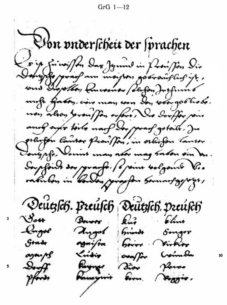$GrG$  1-12

Von pnderscheit der sprachen Soing faint for Day Jymus in floor for Dir.<br>Dong Jyray am major gooranglagig. sous Dispottor Conversion Perfondingfunno unfo farons, cière man sera des voorgoblistes. non alson prompton orfore. Sur Souffor some anof sylv toils not do praf gatails. Ju politique lander planiffon, in orbifon Canson Vought. Varint man not may babon sin an. Soupfort des practes of point bolgont V. radulos in Conden jungofon sommany gyven, Deutzsch. Preusch Deutzsch. preusch  $\gamma_{\rm out}$  $k\ddot{a}$ · Clima Dowers **Congre** Angol brindt Songer Gradr Virkier *Mai/ra*  $b<sub>error</sub>$ overfor Craimba Krisis aganps Payner  $S_{\text{eff}}$ Bin Places Kanayuni pforin kovu.  $\mu_{\text{max}}$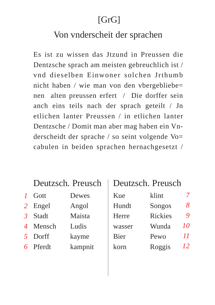#### Von vnderscheit der sprachen

Es ist zu wissen das Jtzund in Preussen die Dentzsche sprach am meisten gebreuchlich ist / vnd dieselben Einwoner solchen Irthumb nicht haben / wie man von den vbergebliebe= nen alten preussen erfert / Die dorffer sein anch eins teils nach der sprach geteilt / Jn etlichen lanter Preussen / in etlichen lanter Dentzsche / Domit man aber mag haben ein Vnderscheidt der sprache / so seint volgende Vo= cabulen in beiden sprachen hernachgesetzt /

#### Deutzsch. Preusch

| $\boldsymbol{I}$ | Gott     | Dewes   |
|------------------|----------|---------|
| $\overline{2}$   | Engel    | Angol   |
| $\mathcal{E}$    | Stadt    | Maista  |
|                  | 4 Mensch | Ludis   |
| $\sqrt{2}$       | Dorff    | kayme   |
|                  | 6 Pferdt | kampnit |

#### Deutzsch. Preusch

| Kue         | klint          |    |
|-------------|----------------|----|
| Hundt       | Songos         | 8  |
| Herre       | <b>Rickies</b> | 9  |
| wasser      | Wunda          | 10 |
| <b>Bier</b> | Pewo           | 11 |
| korn        | Roggis         | 12 |
|             |                |    |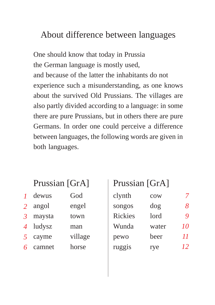#### About difference between languages

One should know that today in Prussia the German language is mostly used, and because of the latter the inhabitants do not experience such a misunderstanding, as one knows about the survived Old Prussians. The villages are also partly divided according to a language: in some there are pure Prussians, but in others there are pure Germans. In order one could perceive a difference between languages, the following words are given in both languages.

#### Prussian [GrA]

| 7              | dewus  | God     |
|----------------|--------|---------|
| $\overline{2}$ | angol  | engel   |
| $\mathfrak{Z}$ | maysta | town    |
| $\overline{4}$ | ludysz | man     |
| 5              | cayme  | village |
| 6              | camnet | horse   |

#### Prussian [GrA]

| clynth         | cow   |    |
|----------------|-------|----|
| songos         | dog   | 8  |
| <b>Rickies</b> | lord  | 9  |
| Wunda          | water | 10 |
| pewo           | beer  | 11 |
| ruggis         | rye   | 12 |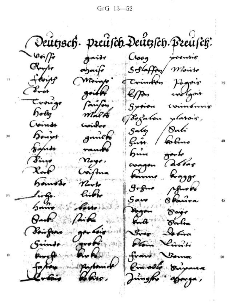GrG 13-52

Deutzsch. preusch Deutzsch. Preusch:  $-\varphi_{\bm{\tau}}/f_{\bm{\tau}}$ gaidr Croog sooontis  $O_{\text{target}}$ Softaffen Monte  $apairf$ Leorip Maint Crimbin Pagnis  $\mathcal{L}_{\text{rot}}$ griff epm verlant trong<br>body fauton Spriou commónnio mala Begalon plassis, Coing Cipieles / Onli  $5-4$ Dough gamen fin / Colmo trans  $\sigma$ -6 bun Pino noxe. allar asagon  $\chi_{\rm orb}$ Coifins  $R_{\alpha\beta\beta}$ bourne hamado norto Afroko libbe  $L_{\textrm{tr}}$  $S$ aw  $5...$ Appon gan traije<br>14 Darlin  $Q_{\text{adv}}$  $11:22$ **BACCON** (Boirgan Istira Pan Kingh Grind enoch. franc Verma 50 Pin solo Direma Jungko "agarga,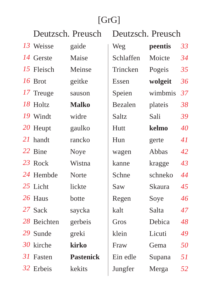| Deutzsch. Preusch |                  | Deutzsch. Preusch |               |    |
|-------------------|------------------|-------------------|---------------|----|
| 13 Weisse         | gaide            | Weg               | peentis       | 33 |
| 14 Gerste         | Maise            | Schlaffen         | Moicte        | 34 |
| 15 Fleisch        | Meinse           | Trincken          | Pogeis        | 35 |
| 16 Brot           | geitke           | Essen             | wolgeit       | 36 |
| 17 Treuge         | sauson           | Speien            | wimbmis       | 37 |
| 18 Holtz          | <b>Malko</b>     | Bezalen           | plateis       | 38 |
| 19 Windt          | widre            | Saltz             | Sali          | 39 |
| 20 Heupt          | gaulko           | Hutt              | kelmo         | 40 |
| 21 handt          | rancko           | Hun               | gerte         | 41 |
| 22 Bine           | <b>Noye</b>      | wagen             | Abbas         | 42 |
| 23 Rock           | Wistna           | kanne             | kragge        | 43 |
| 24 Hembde         | <b>Norte</b>     | Schne             | schneko       | 44 |
| 25 Licht          | lickte           | Saw               | <b>Skaura</b> | 45 |
| 26 Haus           | botte            | Regen             | Soye          | 46 |
| 27 Sack           | saycka           | kalt              | Salta         | 47 |
| 28 Beichten       | gerbeis          | Gros              | Debica        | 48 |
| 29 Sunde          | greki            | klein             | Licuti        | 49 |
| 30 kirche         | kirko            | Fraw              | Gema          | 50 |
| 31 Fasten         | <b>Pastenick</b> | Ein edle          | Supana        | 51 |
| 32 Erbeis         | kekits           | Jungfer           | Merga         | 52 |
|                   |                  |                   |               |    |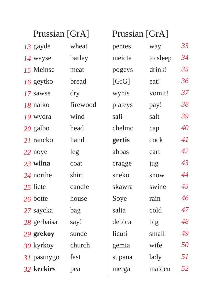|             | Prussian [GrA] |         | Prussian [GrA] |    |
|-------------|----------------|---------|----------------|----|
| 13 gayde    | wheat          | pentes  | way            | 33 |
| 14 wayse    | barley         | meicte  | to sleep       | 34 |
| 15 Meinse   | meat           | pogeys  | drink!         | 35 |
| 16 geytko   | bread          | [GrG]   | eat!           | 36 |
| 17 sawse    | dry            | wynis   | vomit!         | 37 |
| 18 nalko    | firewood       | plateys | pay!           | 38 |
| 19 wydra    | wind           | sali    | salt           | 39 |
| 20 galbo    | head           | chelmo  | cap            | 40 |
| 21 rancko   | hand           | gertis  | cock           | 41 |
| 22 noye     | leg            | abbas   | cart           | 42 |
| 23 wilna    | coat           | cragge  | jug            | 43 |
| 24 northe   | shirt          | sneko   | snow           | 44 |
| 25 licte    | candle         | skawra  | swine          | 45 |
| 26 botte    | house          | Soye    | rain           | 46 |
| 27 saycka   | bag            | salta   | cold           | 47 |
| 28 gerbaisa | say!           | debica  | big            | 48 |
| 29 grekoy   | sunde          | licuti  | small          | 49 |
| 30 kyrkoy   | church         | gemia   | wife           | 50 |
| 31 pastnygo | fast           | supana  | lady           | 51 |
| 32 keckirs  | pea            | merga   | maiden         | 52 |
|             |                |         |                |    |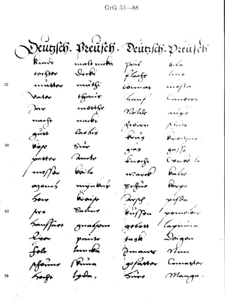$GrG 53 - 88$ 

Deutssch. Preusch. Deutssch. Preus di Ring malt nické pine  $6.6 Q_{\bullet\bullet}R$ forffør ano flasfo mnthow nné**t**fi  $me/h$ comar tfanir  $5$ ant Valor Campux  $\sum_{\mathbf{r}}$ morrge angr Notes narke narft<br>gnut  $A$  fixed fraires lastro fing Propis **Riger**<br>Soutor Bur  $g \rightarrow$  $\frac{9}{7}$ anoto Enorge Crouw to **pointo** / mapper ward bulu. sofino Power mýnkur ajours Qraip siyon saw ample Bachur Aro pomoíos. kingfon gobour aginina Sauffass guarpon Doigon fagle Lipor points hun**da** folo Juanes Min Aforme Prima gofassar Comartor hydn. Sorge Sing Manga.

55

60

65

70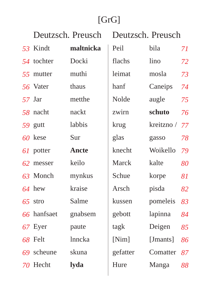|    |             | Deutzsch. Preusch | Deutzsch. Preusch |            |    |
|----|-------------|-------------------|-------------------|------------|----|
|    | 53 Kindt    | maltnicka         | Peil              | bila       | 71 |
|    | 54 tochter  | Docki             | flachs            | lino       | 72 |
|    | 55 mutter   | muthi             | leimat            | mosla      | 73 |
|    | 56 Vater    | thaus             | hanf              | Caneips    | 74 |
|    | 57 Jar      | metthe            | Nolde             | augle      | 75 |
|    | 58 nacht    | nackt             | zwirn             | schuto     | 76 |
|    | 59 gutt     | labbis            | krug              | kreitzno / | 77 |
|    | 60 kese     | Sur               | glas              | gasso      | 78 |
|    | 61 potter   | <b>Ancte</b>      | knecht            | Woikello   | 79 |
| 62 | messer      | keilo             | Marck             | kalte      | 80 |
|    | 63 Monch    | mynkus            | Schue             | korpe      | 81 |
|    | $64$ hew    | kraise            | Arsch             | pisda      | 82 |
|    | $65$ stro   | Salme             | kussen            | pomeleis   | 83 |
|    | 66 hanfsaet | gnabsem           | gebott            | lapinna    | 84 |
|    | 67 Eyer     | paute             | tagk              | Deigen     | 85 |
|    | 68 Felt     | lnncka            | [Nim]             | [Jmants]   | 86 |
|    | 69 scheune  | skuna             | gefatter          | Comatter   | 87 |
|    | 70 Hecht    | lyda              | Hure              | Manga      | 88 |
|    |             |                   |                   |            |    |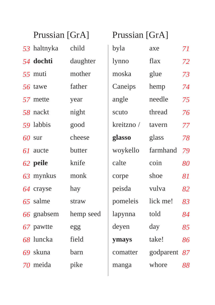| Prussian [GrA] |           | Prussian [GrA] |           |    |
|----------------|-----------|----------------|-----------|----|
| 53 haltnyka    | child     | byla           | axe       | 71 |
| 54 dochti      | daughter  | lynno          | flax      | 72 |
| 55 muti        | mother    | moska          | glue      | 73 |
| 56 tawe        | father    | Caneips        | hemp      | 74 |
| 57 mette       | year      | angle          | needle    | 75 |
| 58 nackt       | night     | scuto          | thread    | 76 |
| 59 labbis      | good      | kreitzno /     | tavern    | 77 |
| $60$ sur       | cheese    | glasso         | glass     | 78 |
| 61 aucte       | butter    | woykello       | farmhand  | 79 |
| 62 peile       | knife     | calte          | coin      | 80 |
| 63 mynkus      | monk      | corpe          | shoe      | 81 |
| 64 crayse      | hay       | peisda         | vulva     | 82 |
| 65 salme       | straw     | pomeleis       | lick me!  | 83 |
| 66 gnabsem     | hemp seed | lapynna        | told      | 84 |
| 67 pawtte      | egg       | deyen          | day       | 85 |
| 68 luncka      | field     | ymays          | take!     | 86 |
| 69 skuna       | barn      | comatter       | godparent | 87 |
| 70 meida       | pike      | manga          | whore     | 88 |
|                |           |                |           |    |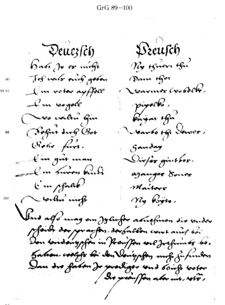$GrG 89 - 100$ 

Breusch  $P$ euczs $\hat{c}$ h Ry of were the ba*bi je po mege* Jos water owng good. Dann Afor 90 ronning cooper. I'm votor appear 91/92 pipock. <u>L</u>'un soyale Prignt offer Vo valor fin Varioto of Sower, Sofar dug Bot 95 (Sobre first. Sanday fin gut man Dirfor ginthos. - I'm Survey kind agangor donor  $\lim_{\mu \to 0}$ Maitors Vorter wife Ny Psyre. Suid als unag am Jylinfor asusfuson die vudor pfoids dos por as fors dos for llon court and hai Sation coologs for der Verigpfen mot gufunden Dan des forten Je prochiger und stricht boter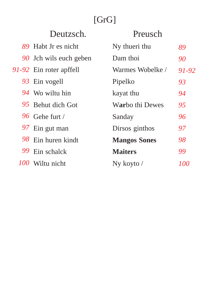|    | Deutzsch.               | Preusch             |            |
|----|-------------------------|---------------------|------------|
|    | 89 Habt Jr es nicht     | Ny thueri thu       | 89         |
|    | 90 Jch wils euch geben  | Dam thoi            | 90         |
|    | 91-92 Ein roter apffell | Warmes Wobelke /    | 91-92      |
|    | 93 Ein vogell           | Pipelko             | 93         |
|    | 94 Wo wiltu hin         | kayat thu           | 94         |
|    | 95 Behut dich Got       | Warbo thi Dewes     | 95         |
|    | 96 Gehe furt /          | Sanday              | 96         |
|    | 97 Ein gut man          | Dirsos ginthos      | 97         |
| 98 | Ein huren kindt         | <b>Mangos Sones</b> | 98         |
| 99 | Ein schalck             | <b>Maiters</b>      | 99         |
|    | 100 Wiltu nicht         | Ny kovto /          | <i>100</i> |